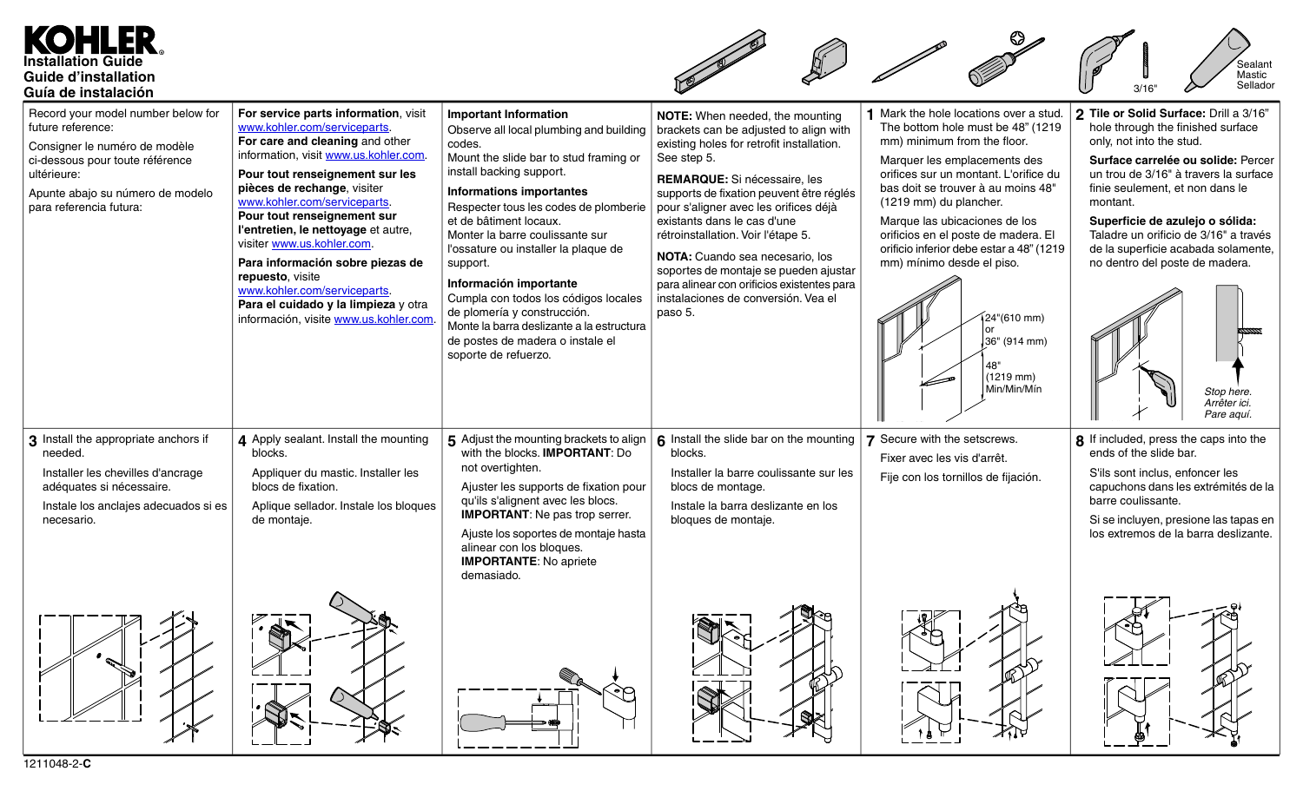## KO ER. **Installation Guide Guide d'installation Guía de instalación**



| aula de Ilistalacióli                                                                                                                                                                                     |                                                                                                                                                                                                                                                                                                                                                                                                                                                                                                                                 |                                                                                                                                                                                                                                                                                                                                                                                                                                                                                                                                                                |                                                                                                                                                                                                                                                                                                                                                                                                                                                                                                             |                                                                                                                                                                                                                                                                                                                                                                                                                                                                      |                                                                                                                                                                                                                                                                                                                                                                                                                                        |
|-----------------------------------------------------------------------------------------------------------------------------------------------------------------------------------------------------------|---------------------------------------------------------------------------------------------------------------------------------------------------------------------------------------------------------------------------------------------------------------------------------------------------------------------------------------------------------------------------------------------------------------------------------------------------------------------------------------------------------------------------------|----------------------------------------------------------------------------------------------------------------------------------------------------------------------------------------------------------------------------------------------------------------------------------------------------------------------------------------------------------------------------------------------------------------------------------------------------------------------------------------------------------------------------------------------------------------|-------------------------------------------------------------------------------------------------------------------------------------------------------------------------------------------------------------------------------------------------------------------------------------------------------------------------------------------------------------------------------------------------------------------------------------------------------------------------------------------------------------|----------------------------------------------------------------------------------------------------------------------------------------------------------------------------------------------------------------------------------------------------------------------------------------------------------------------------------------------------------------------------------------------------------------------------------------------------------------------|----------------------------------------------------------------------------------------------------------------------------------------------------------------------------------------------------------------------------------------------------------------------------------------------------------------------------------------------------------------------------------------------------------------------------------------|
| Record your model number below for<br>future reference:<br>Consigner le numéro de modèle<br>ci-dessous pour toute référence<br>ultérieure:<br>Apunte abajo su número de modelo<br>para referencia futura: | For service parts information, visit<br>www.kohler.com/serviceparts.<br>For care and cleaning and other<br>information, visit www.us.kohler.com<br>Pour tout renseignement sur les<br>pièces de rechange, visiter<br>www.kohler.com/serviceparts.<br>Pour tout renseignement sur<br>l'entretien, le nettoyage et autre,<br>visiter www.us.kohler.com.<br>Para información sobre piezas de<br>repuesto, visite<br>www.kohler.com/serviceparts.<br>Para el cuidado y la limpieza y otra<br>información, visite www.us.kohler.com. | <b>Important Information</b><br>Observe all local plumbing and building<br>codes.<br>Mount the slide bar to stud framing or<br>install backing support.<br><b>Informations importantes</b><br>Respecter tous les codes de plomberie<br>et de bâtiment locaux.<br>Monter la barre coulissante sur<br>l'ossature ou installer la plaque de<br>support.<br>Información importante<br>Cumpla con todos los códigos locales<br>de plomería y construcción.<br>Monte la barra deslizante a la estructura<br>de postes de madera o instale el<br>soporte de refuerzo. | NOTE: When needed, the mounting<br>brackets can be adjusted to align with<br>existing holes for retrofit installation.<br>See step 5.<br>REMARQUE: Si nécessaire, les<br>supports de fixation peuvent être réglés<br>pour s'aligner avec les orifices déjà<br>existants dans le cas d'une<br>rétroinstallation. Voir l'étape 5.<br>NOTA: Cuando sea necesario, los<br>soportes de montaje se pueden ajustar<br>para alinear con orificios existentes para<br>instalaciones de conversión. Vea el<br>paso 5. | 1 Mark the hole locations over a stud.<br>The bottom hole must be 48" (1219)<br>mm) minimum from the floor.<br>Marquer les emplacements des<br>orifices sur un montant. L'orifice du<br>bas doit se trouver à au moins 48"<br>(1219 mm) du plancher.<br>Marque las ubicaciones de los<br>orificios en el poste de madera. El<br>orificio inferior debe estar a 48" (1219<br>mm) mínimo desde el piso.<br>424"(610 mm)<br>.36" (914 mm)<br>$(1219$ mm)<br>Min/Min/Mín | 2 Tile or Solid Surface: Drill a 3/16"<br>hole through the finished surface<br>only, not into the stud.<br>Surface carrelée ou solide: Percer<br>un trou de 3/16" à travers la surface<br>finie seulement, et non dans le<br>montant.<br>Superficie de azulejo o sólida:<br>Taladre un orificio de 3/16" a través<br>de la superficie acabada solamente,<br>no dentro del poste de madera.<br>Stop here.<br>Arrêter ici.<br>Pare aguí. |
| 3 Install the appropriate anchors if<br>needed.<br>Installer les chevilles d'ancrage<br>adéquates si nécessaire.<br>Instale los anclajes adecuados si es<br>necesario.                                    | 4 Apply sealant. Install the mounting<br>blocks.<br>Appliquer du mastic. Installer les<br>blocs de fixation.<br>Aplique sellador. Instale los bloques<br>de montaje.                                                                                                                                                                                                                                                                                                                                                            | 5 Adjust the mounting brackets to align<br>with the blocks. IMPORTANT: Do<br>not overtighten.<br>Ajuster les supports de fixation pour<br>qu'ils s'alignent avec les blocs.<br><b>IMPORTANT:</b> Ne pas trop serrer.<br>Ajuste los soportes de montaje hasta<br>alinear con los bloques.<br><b>IMPORTANTE:</b> No apriete<br>demasiado.                                                                                                                                                                                                                        | 6 Install the slide bar on the mounting<br>blocks.<br>Installer la barre coulissante sur les<br>blocs de montage.<br>Instale la barra deslizante en los<br>bloques de montaje.                                                                                                                                                                                                                                                                                                                              | 7 Secure with the setscrews.<br>Fixer avec les vis d'arrêt.<br>Fije con los tornillos de fijación.                                                                                                                                                                                                                                                                                                                                                                   | 8 If included, press the caps into the<br>ends of the slide bar.<br>S'ils sont inclus, enfoncer les<br>capuchons dans les extrémités de la<br>barre coulissante.<br>Si se incluyen, presione las tapas en<br>los extremos de la barra deslizante.                                                                                                                                                                                      |
|                                                                                                                                                                                                           |                                                                                                                                                                                                                                                                                                                                                                                                                                                                                                                                 | ∙°                                                                                                                                                                                                                                                                                                                                                                                                                                                                                                                                                             |                                                                                                                                                                                                                                                                                                                                                                                                                                                                                                             |                                                                                                                                                                                                                                                                                                                                                                                                                                                                      |                                                                                                                                                                                                                                                                                                                                                                                                                                        |